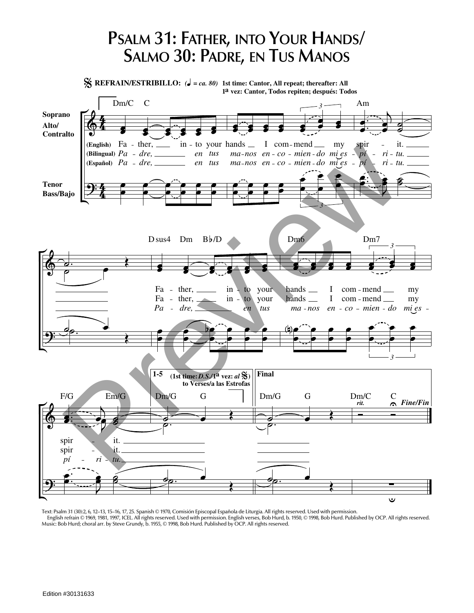## **PSALM 31: FATHER, INTO YOUR HANDS/ SALMO 30: PADRE, EN TUS MANOS**

**REFRAIN/ESTRIBILLO:**  $\left(\frac{d}{ }\right) = ca. 80$  1st time: Cantor, All repeat; thereafter: All **1 vez: Cantor, Todos repiten; después: Todos a** Dm/C C Am *3* **Soprano Alto/ Contralto (English)** in - to your hands  $\angle$  I com-mend  $\angle$  my spir - it. **P***p***<sub>***i***</sub> <b>***ri <i>r*<sub>*i*</sub> *a dreg n a a p*<sub>*n*</sub> *a n*<sub>*i*</sub> *n a n*<sub>*i*</sub> *n a n*<sub>*i*</sub> *n a n <i>n*<sub></sub> *n a n a n a n a n a n a n a n a n a n a n* (Bilingual)  $Pa - dre$ , *en tus ma nos en co mien do mi es pí ri tu.* (Español)  $Pa - dre$ , *en tus ma nos en co mien do mi es ri tu. pí* **Tenor Bass/Bajo** *3* D sus4 Dm  $Bb/D$ Dm6 Dm7 *3* ther, com mend Fa in to your hands <u>J</u> my your Fa - ther,  $in$ to hands \_\_ I com mend my *Pa dre, en tus ma nos en co mien do mi es 3* **Final 1-5**  $(1st time: D.S./1<sup>a</sup>$  vez: *al*  $\%)$ **to Verses/a las Estrofas** F/G Em/G Dm/G G Dm/C C Dm/G G *Fine/Fin rit.* spir it. spir it. ت

Text: Psalm 31 (30):2, 6, 12–13, 15–16, 17, 25. Spanish © 1970, Comisión Episcopal Española de Liturgia. All rights reserved. Used with permission. English refrain © 1969, 1981, 1997, ICEL. All rights reserved. Used with permission. English verses, Bob Hurd, b. 1950, © 1998, Bob Hurd. Published by OCP. All rights reserved. Music: Bob Hurd; choral arr. by Steve Grundy, b. 1955, © 1998, Bob Hurd. Published by OCP. All rights reserved.